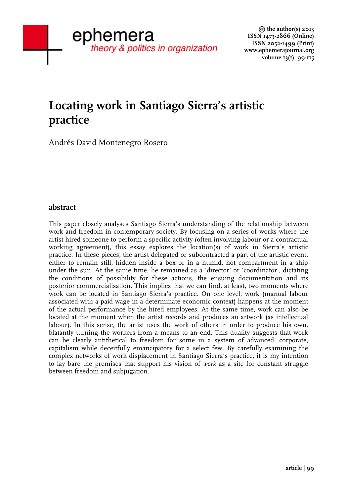# **Locating work in Santiago Sierra's artistic practice**

Andrés David Montenegro Rosero

# **abstract**

This paper closely analyses Santiago Sierra's understanding of the relationship between work and freedom in contemporary society. By focusing on a series of works where the artist hired someone to perform a specific activity (often involving labour or a contractual working agreement), this essay explores the location(s) of work in Sierra's artistic practice. In these pieces, the artist delegated or subcontracted a part of the artistic event, either to remain still, hidden inside a box or in a humid, hot compartment in a ship under the sun. At the same time, he remained as a 'director' or 'coordinator', dictating the conditions of possibility for these actions, the ensuing documentation and its posterior commercialisation. This implies that we can find, at least, two moments where work can be located in Santiago Sierra's practice. On one level, work (manual labour associated with a paid wage in a determinate economic context) happens at the moment of the actual performance by the hired employees. At the same time, work can also be located at the moment when the artist records and produces an artwork (as intellectual labour). In this sense, the artist uses the work of others in order to produce his own, blatantly turning the workers from a means to an end. This duality suggests that work can be clearly antithetical to freedom for some in a system of advanced, corporate, capitalism while deceitfully emancipatory for a select few. By carefully examining the complex networks of work displacement in Santiago Sierra's practice, it is my intention to lay bare the premises that support his vision of *work* as a site for constant struggle between freedom and subjugation.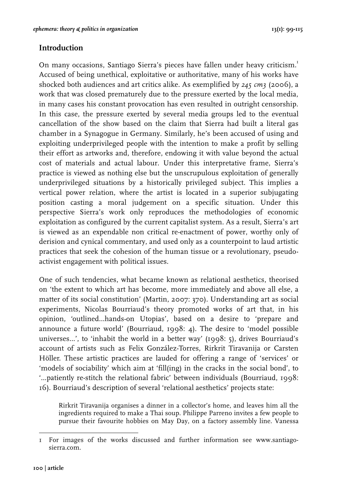# **Introduction**

On many occasions, Santiago Sierra's pieces have fallen under heavy criticism.<sup>1</sup> Accused of being unethical, exploitative or authoritative, many of his works have shocked both audiences and art critics alike. As exemplified by *245 cm3* (2006), a work that was closed prematurely due to the pressure exerted by the local media, in many cases his constant provocation has even resulted in outright censorship. In this case, the pressure exerted by several media groups led to the eventual cancellation of the show based on the claim that Sierra had built a literal gas chamber in a Synagogue in Germany. Similarly, he's been accused of using and exploiting underprivileged people with the intention to make a profit by selling their effort as artworks and, therefore, endowing it with value beyond the actual cost of materials and actual labour. Under this interpretative frame, Sierra's practice is viewed as nothing else but the unscrupulous exploitation of generally underprivileged situations by a historically privileged subject. This implies a vertical power relation, where the artist is located in a superior subjugating position casting a moral judgement on a specific situation. Under this perspective Sierra's work only reproduces the methodologies of economic exploitation as configured by the current capitalist system. As a result, Sierra's art is viewed as an expendable non critical re-enactment of power, worthy only of derision and cynical commentary, and used only as a counterpoint to laud artistic practices that seek the cohesion of the human tissue or a revolutionary, pseudoactivist engagement with political issues.

One of such tendencies, what became known as relational aesthetics, theorised on 'the extent to which art has become, more immediately and above all else, a matter of its social constitution' (Martin, 2007: 370). Understanding art as social experiments, Nicolas Bourriaud's theory promoted works of art that, in his opinion, 'outlined…hands-on Utopias', based on a desire to 'prepare and announce a future world' (Bourriaud, 1998: 4). The desire to 'model possible universes…', to 'inhabit the world in a better way' (1998: 5), drives Bourriaud's account of artists such as Felix González-Torres, Rirkrit Tiravanija or Carsten Höller. These artistic practices are lauded for offering a range of 'services' or 'models of sociability' which aim at 'fill(ing) in the cracks in the social bond', to '…patiently re-stitch the relational fabric' between individuals (Bourriaud, 1998: 16). Bourriaud's description of several 'relational aesthetics' projects state:

Rirkrit Tiravanija organises a dinner in a collector's home, and leaves him all the ingredients required to make a Thai soup. Philippe Parreno invites a few people to pursue their favourite hobbies on May Day, on a factory assembly line. Vanessa

I For images of the works discussed and further information see www.santiagosierra.com.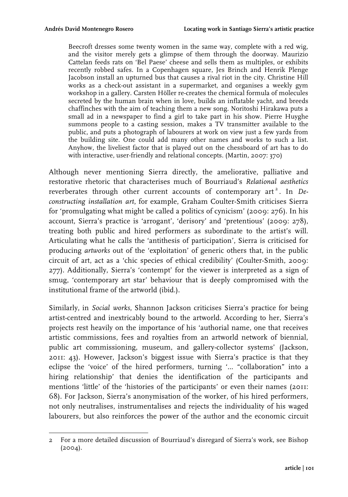Beecroft dresses some twenty women in the same way, complete with a red wig, and the visitor merely gets a glimpse of them through the doorway. Maurizio Cattelan feeds rats on 'Bel Paese' cheese and sells them as multiples, or exhibits recently robbed safes. In a Copenhagen square, Jes Brinch and Henrik Plenge Jacobson install an upturned bus that causes a rival riot in the city. Christine Hill works as a check-out assistant in a supermarket, and organises a weekly gym workshop in a gallery. Carsten Höller re-creates the chemical formula of molecules secreted by the human brain when in love, builds an inflatable yacht, and breeds chaffinches with the aim of teaching them a new song. Noritoshi Hirakawa puts a small ad in a newspaper to find a girl to take part in his show. Pierre Huyghe summons people to a casting session, makes a TV transmitter available to the public, and puts a photograph of labourers at work on view just a few yards from the building site. One could add many other names and works to such a list. Anyhow, the liveliest factor that is played out on the chessboard of art has to do with interactive, user-friendly and relational concepts. (Martin, 2007: 370)

Although never mentioning Sierra directly, the ameliorative, palliative and restorative rhetoric that characterises much of Bourriaud's *Relational aesthetics* reverberates through other current accounts of contemporary art<sup>2</sup>. In *Deconstructing installation art*, for example, Graham Coulter-Smith criticises Sierra for 'promulgating what might be called a politics of cynicism' (2009: 276). In his account, Sierra's practice is 'arrogant', 'derisory' and 'pretentious' (2009: 278), treating both public and hired performers as subordinate to the artist's will. Articulating what he calls the 'antithesis of participation', Sierra is criticised for producing *artworks* out of the 'exploitation' of generic others that, in the public circuit of art, act as a 'chic species of ethical credibility' (Coulter-Smith, 2009: 277). Additionally, Sierra's 'contempt' for the viewer is interpreted as a sign of smug, 'contemporary art star' behaviour that is deeply compromised with the institutional frame of the artworld (ibid.).

Similarly, in *Social works*, Shannon Jackson criticises Sierra's practice for being artist-centred and inextricably bound to the artworld. According to her, Sierra's projects rest heavily on the importance of his 'authorial name, one that receives artistic commissions, fees and royalties from an artworld network of biennial, public art commissioning, museum, and gallery-collector systems' (Jackson, 2011: 43). However, Jackson's biggest issue with Sierra's practice is that they eclipse the 'voice' of the hired performers, turning '… "collaboration" into a hiring relationship' that denies the identification of the participants and mentions 'little' of the 'histories of the participants' or even their names (2011: 68). For Jackson, Sierra's anonymisation of the worker, of his hired performers, not only neutralises, instrumentalises and rejects the individuality of his waged labourers, but also reinforces the power of the author and the economic circuit

<sup>2</sup> For a more detailed discussion of Bourriaud's disregard of Sierra's work, see Bishop (2004).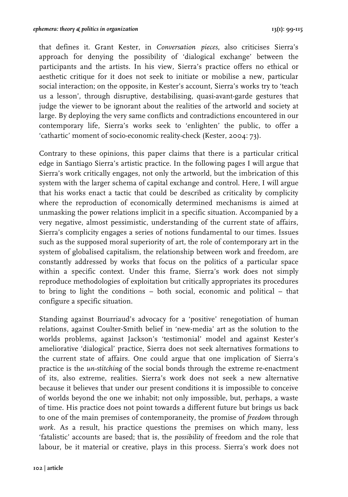that defines it. Grant Kester, in *Conversation pieces*, also criticises Sierra's approach for denying the possibility of 'dialogical exchange' between the participants and the artists. In his view, Sierra's practice offers no ethical or aesthetic critique for it does not seek to initiate or mobilise a new, particular social interaction; on the opposite, in Kester's account, Sierra's works try to 'teach us a lesson', through disruptive, destabilising, quasi-avant-garde gestures that judge the viewer to be ignorant about the realities of the artworld and society at large. By deploying the very same conflicts and contradictions encountered in our contemporary life, Sierra's works seek to 'enlighten' the public, to offer a 'cathartic' moment of socio-economic reality-check (Kester, 2004: 73).

Contrary to these opinions, this paper claims that there is a particular critical edge in Santiago Sierra's artistic practice. In the following pages I will argue that Sierra's work critically engages, not only the artworld, but the imbrication of this system with the larger schema of capital exchange and control. Here, I will argue that his works enact a tactic that could be described as criticality by complicity where the reproduction of economically determined mechanisms is aimed at unmasking the power relations implicit in a specific situation. Accompanied by a very negative, almost pessimistic, understanding of the current state of affairs, Sierra's complicity engages a series of notions fundamental to our times. Issues such as the supposed moral superiority of art, the role of contemporary art in the system of globalised capitalism, the relationship between work and freedom, are constantly addressed by works that focus on the politics of a particular space within a specific context. Under this frame, Sierra's work does not simply reproduce methodologies of exploitation but critically appropriates its procedures to bring to light the conditions – both social, economic and political – that configure a specific situation.

Standing against Bourriaud's advocacy for a 'positive' renegotiation of human relations, against Coulter-Smith belief in 'new-media' art as the solution to the worlds problems, against Jackson's 'testimonial' model and against Kester's ameliorative 'dialogical' practice, Sierra does not seek alternatives formations to the current state of affairs. One could argue that one implication of Sierra's practice is the *un-stitching* of the social bonds through the extreme re-enactment of its, also extreme, realities. Sierra's work does not seek a new alternative because it believes that under our present conditions it is impossible to conceive of worlds beyond the one we inhabit; not only impossible, but, perhaps, a waste of time. His practice does not point towards a different future but brings us back to one of the main premises of contemporaneity, the promise of *freedom* through *work.* As a result, his practice questions the premises on which many, less 'fatalistic' accounts are based; that is, the *possibility* of freedom and the role that labour, be it material or creative, plays in this process. Sierra's work does not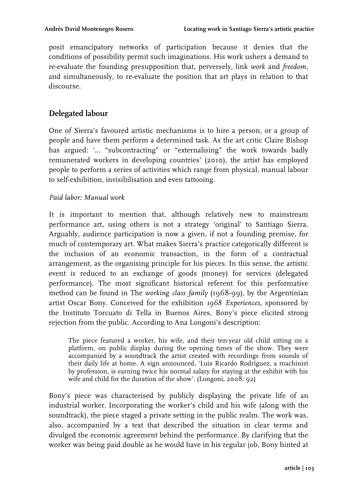posit emancipatory networks of participation because it denies that the conditions of possibility permit such imaginations. His work ushers a demand to re-evaluate the founding presupposition that, perversely, link *work* and *freedom*, and simultaneously, to re-evaluate the position that art plays in relation to that discourse.

# **Delegated labour**

One of Sierra's favoured artistic mechanisms is to hire a person, or a group of people and have them perform a determined task. As the art critic Claire Bishop has argued: '... "subcontracting" or "externalising" the work towards badly remunerated workers in developing countries' (2010), the artist has employed people to perform a series of activities which range from physical, manual labour to self-exhibition, invisibilisation and even tattooing.

### *Paid labor: Manual work*

It is important to mention that, although relatively new to mainstream performance art, using others is not a strategy 'original' to Santiago Sierra. Arguably, audience participation is now a given, if not a founding premise, for much of contemporary art. What makes Sierra's practice categorically different is the inclusion of an economic transaction, in the form of a contractual arrangement, as the organising principle for his pieces. In this sense, the artistic event is reduced to an exchange of goods (money) for services (delegated performance). The most significant historical referent for this performative method can be found in The *working class family* (1968-99), by the Argentinian artist Oscar Bony. Conceived for the exhibition *1968 Experiences*, sponsored by the Instituto Torcuato di Tella in Buenos Aires, Bony's piece elicited strong rejection from the public. According to Ana Longoni's description:

The piece featured a worker, his wife, and their ten-year old child sitting on a platform, on public display during the opening times of the show. They were accompanied by a soundtrack the artist created with recordings from sounds of their daily life at home. A sign announced, 'Luis Ricardo Rodríguez, a machinist by profession, is earning twice his normal salary for staying at the exhibit with his wife and child for the duration of the show'. (Longoni, 2008: 92)

Bony's piece was characterised by publicly displaying the private life of an industrial worker. Incorporating the worker's child and his wife (along with the soundtrack), the piece staged a private setting in the public realm. The work was, also, accompanied by a text that described the situation in clear terms and divulged the economic agreement behind the performance. By clarifying that the worker was being paid double as he would have in his regular job, Bony hinted at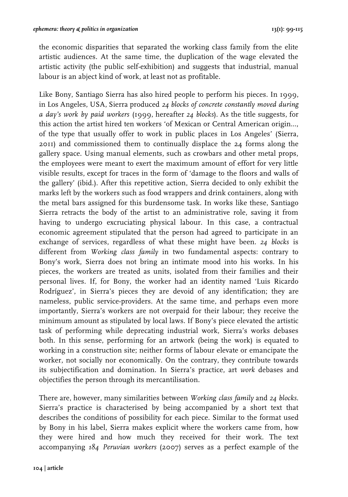the economic disparities that separated the working class family from the elite artistic audiences. At the same time, the duplication of the wage elevated the artistic activity (the public self-exhibition) and suggests that industrial, manual labour is an abject kind of work, at least not as profitable.

Like Bony, Santiago Sierra has also hired people to perform his pieces. In 1999, in Los Angeles, USA, Sierra produced *24 blocks of concrete constantly moved during a day's work by paid workers* (1999, hereafter *24 blocks*). As the title suggests, for this action the artist hired ten workers 'of Mexican or Central American origin..., of the type that usually offer to work in public places in Los Angeles' (Sierra, 2011) and commissioned them to continually displace the 24 forms along the gallery space. Using manual elements, such as crowbars and other metal props, the employees were meant to exert the maximum amount of effort for very little visible results, except for traces in the form of 'damage to the floors and walls of the gallery' (ibid.). After this repetitive action, Sierra decided to only exhibit the marks left by the workers such as food wrappers and drink containers, along with the metal bars assigned for this burdensome task. In works like these, Santiago Sierra retracts the body of the artist to an administrative role, saving it from having to undergo excruciating physical labour. In this case, a contractual economic agreement stipulated that the person had agreed to participate in an exchange of services, regardless of what these might have been. *24 blocks* is different from *Working class family* in two fundamental aspects: contrary to Bony's work, Sierra does not bring an intimate mood into his works. In his pieces, the workers are treated as units, isolated from their families and their personal lives. If, for Bony, the worker had an identity named 'Luis Ricardo Rodríguez', in Sierra's pieces they are devoid of any identification; they are nameless, public service-providers. At the same time, and perhaps even more importantly, Sierra's workers are not overpaid for their labour; they receive the minimum amount as stipulated by local laws. If Bony's piece elevated the artistic task of performing while deprecating industrial work, Sierra's works debases both. In this sense, performing for an artwork (being the work) is equated to working in a construction site; neither forms of labour elevate or emancipate the worker, not socially nor economically. On the contrary, they contribute towards its subjectification and domination. In Sierra's practice, art *work* debases and objectifies the person through its mercantilisation.

There are, however, many similarities between *Working class family* and *24 blocks.*  Sierra's practice is characterised by being accompanied by a short text that describes the conditions of possibility for each piece. Similar to the format used by Bony in his label, Sierra makes explicit where the workers came from, how they were hired and how much they received for their work. The text accompanying *184 Peruvian workers* (2007) serves as a perfect example of the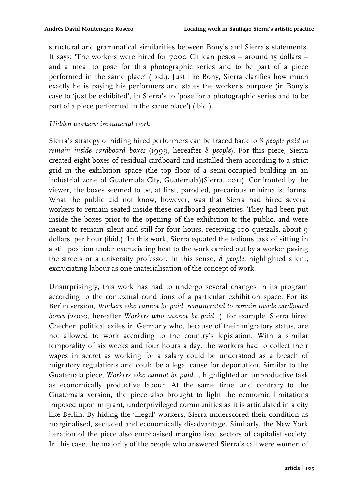structural and grammatical similarities between Bony's and Sierra's statements. It says: 'The workers were hired for 7000 Chilean pesos – around 15 dollars – and a meal to pose for this photographic series and to be part of a piece performed in the same place' (ibid.). Just like Bony, Sierra clarifies how much exactly he is paying his performers and states the worker's purpose (in Bony's case to 'just be exhibited', in Sierra's to 'pose for a photographic series and to be part of a piece performed in the same place') (ibid.).

#### *Hidden workers: immaterial work*

Sierra's strategy of hiding hired performers can be traced back to *8 people paid to remain inside cardboard boxes* (1999, hereafter *8 people*). For this piece, Sierra created eight boxes of residual cardboard and installed them according to a strict grid in the exhibition space (the top floor of a semi-occupied building in an industrial zone of Guatemala City, Guatemala)(Sierra, 2011). Confronted by the viewer, the boxes seemed to be, at first, parodied, precarious minimalist forms. What the public did not know, however, was that Sierra had hired several workers to remain seated inside these cardboard geometries. They had been put inside the boxes prior to the opening of the exhibition to the public, and were meant to remain silent and still for four hours, receiving 100 quetzals, about 9 dollars, per hour (ibid.). In this work, Sierra equated the tedious task of sitting in a still position under excruciating heat to the work carried out by a worker paving the streets or a university professor. In this sense, *8 people*, highlighted silent, excruciating labour as one materialisation of the concept of work.

Unsurprisingly, this work has had to undergo several changes in its program according to the contextual conditions of a particular exhibition space. For its Berlin version, *Workers who cannot be paid, remunerated to remain inside cardboard boxes* (2000, hereafter *Workers who cannot be paid...*), for example, Sierra hired Chechen political exiles in Germany who, because of their migratory status, are not allowed to work according to the country's legislation. With a similar temporality of six weeks and four hours a day, the workers had to collect their wages in secret as working for a salary could be understood as a breach of migratory regulations and could be a legal cause for deportation. Similar to the Guatemala piece, *Workers who cannot be paid...*, highlighted an unproductive task as economically productive labour. At the same time, and contrary to the Guatemala version, the piece also brought to light the economic limitations imposed upon migrant, underprivileged communities as it is articulated in a city like Berlin. By hiding the 'illegal' workers, Sierra underscored their condition as marginalised, secluded and economically disadvantage. Similarly, the New York iteration of the piece also emphasised marginalised sectors of capitalist society. In this case, the majority of the people who answered Sierra's call were women of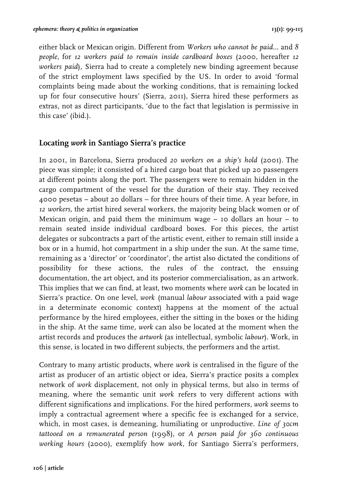either black or Mexican origin. Different from *Workers who cannot be paid...* and *8 people,* for *12 workers paid to remain inside cardboard boxes* (2000, hereafter *12 workers paid*)*,* Sierra had to create a completely new binding agreement because of the strict employment laws specified by the US. In order to avoid 'formal complaints being made about the working conditions, that is remaining locked up for four consecutive hours' (Sierra, 2011), Sierra hired these performers as extras, not as direct participants, 'due to the fact that legislation is permissive in this case' (ibid.).

## **Locating** *work* **in Santiago Sierra's practice**

In 2001, in Barcelona, Sierra produced *20 workers on a ship's hold* (2001)*.* The piece was simple; it consisted of a hired cargo boat that picked up 20 passengers at different points along the port. The passengers were to remain hidden in the cargo compartment of the vessel for the duration of their stay. They received 4000 pesetas – about 20 dollars – for three hours of their time. A year before, in *12 workers*, the artist hired several workers, the majority being black women or of Mexican origin, and paid them the minimum wage  $-$  10 dollars an hour  $-$  to remain seated inside individual cardboard boxes. For this pieces, the artist delegates or subcontracts a part of the artistic event, either to remain still inside a box or in a humid, hot compartment in a ship under the sun. At the same time, remaining as a 'director' or 'coordinator', the artist also dictated the conditions of possibility for these actions, the rules of the contract, the ensuing documentation, the art object, and its posterior commercialisation, as an artwork. This implies that we can find, at least, two moments where *work* can be located in Sierra's practice. On one level, *work* (manual *labour* associated with a paid wage in a determinate economic context) happens at the moment of the actual performance by the hired employees, either the sitting in the boxes or the hiding in the ship. At the same time, *work* can also be located at the moment when the artist records and produces the *artwork* (as intellectual, symbolic *labour*). Work, in this sense, is located in two different subjects, the performers and the artist.

Contrary to many artistic products, where *work* is centralised in the figure of the artist as producer of an artistic object or idea, Sierra's practice posits a complex network of *work* displacement, not only in physical terms, but also in terms of meaning, where the semantic unit *work* refers to very different actions with different significations and implications. For the hired performers, *work* seems to imply a contractual agreement where a specific fee is exchanged for a service, which, in most cases, is demeaning, humiliating or unproductive. *Line of 30cm tattooed on a remunerated person* (1998), or *A person paid for 360 continuous working hours* (2000), exemplify how *work*, for Santiago Sierra's performers,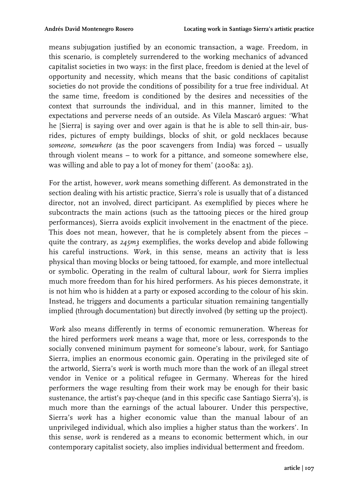means subjugation justified by an economic transaction, a wage. Freedom, in this scenario, is completely surrendered to the working mechanics of advanced capitalist societies in two ways: in the first place, freedom is denied at the level of opportunity and necessity, which means that the basic conditions of capitalist societies do not provide the conditions of possibility for a true free individual. At the same time, freedom is conditioned by the desires and necessities of the context that surrounds the individual, and in this manner, limited to the expectations and perverse needs of an outside. As Vilela Mascaró argues: 'What he [Sierra] is saying over and over again is that he is able to sell thin-air, busrides, pictures of empty buildings, blocks of shit, or gold necklaces because *someone, somewhere* (as the poor scavengers from India) was forced – usually through violent means – to work for a pittance, and someone somewhere else, was willing and able to pay a lot of money for them' (2008a: 23).

For the artist, however, *work* means something different. As demonstrated in the section dealing with his artistic practice, Sierra's role is usually that of a distanced director, not an involved, direct participant. As exemplified by pieces where he subcontracts the main actions (such as the tattooing pieces or the hired group performances), Sierra avoids explicit involvement in the enactment of the piece. This does not mean, however, that he is completely absent from the pieces – quite the contrary, as *245m3* exemplifies*,* the works develop and abide following his careful instructions. *Work*, in this sense, means an activity that is less physical than moving blocks or being tattooed, for example, and more intellectual or symbolic. Operating in the realm of cultural labour, *work* for Sierra implies much more freedom than for his hired performers. As his pieces demonstrate, it is not him who is hidden at a party or exposed according to the colour of his skin. Instead, he triggers and documents a particular situation remaining tangentially implied (through documentation) but directly involved (by setting up the project).

*Work* also means differently in terms of economic remuneration. Whereas for the hired performers *work* means a wage that, more or less, corresponds to the socially convened minimum payment for someone's labour, *work*, for Santiago Sierra, implies an enormous economic gain. Operating in the privileged site of the artworld, Sierra's *work* is worth much more than the work of an illegal street vendor in Venice or a political refugee in Germany. Whereas for the hired performers the wage resulting from their work may be enough for their basic sustenance, the artist's pay-cheque (and in this specific case Santiago Sierra's), is much more than the earnings of the actual labourer. Under this perspective, Sierra's *work* has a higher economic value than the manual labour of an unprivileged individual, which also implies a higher status than the workers'. In this sense, *work* is rendered as a means to economic betterment which, in our contemporary capitalist society, also implies individual betterment and freedom.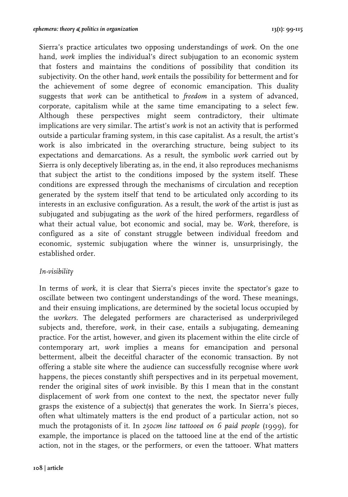Sierra's practice articulates two opposing understandings of *work.* On the one hand, *work* implies the individual's direct subjugation to an economic system that fosters and maintains the conditions of possibility that condition its subjectivity. On the other hand, *work* entails the possibility for betterment and for the achievement of some degree of economic emancipation. This duality suggests that *work* can be antithetical to *freedom* in a system of advanced, corporate, capitalism while at the same time emancipating to a select few. Although these perspectives might seem contradictory, their ultimate implications are very similar. The artist's *work* is not an activity that is performed outside a particular framing system, in this case capitalist. As a result, the artist's work is also imbricated in the overarching structure, being subject to its expectations and demarcations. As a result, the symbolic *work* carried out by Sierra is only deceptively liberating as, in the end, it also reproduces mechanisms that subject the artist to the conditions imposed by the system itself. These conditions are expressed through the mechanisms of circulation and reception generated by the system itself that tend to be articulated only according to its interests in an exclusive configuration. As a result, the *work* of the artist is just as subjugated and subjugating as the *work* of the hired performers, regardless of what their actual value, bot economic and social, may be. *Work*, therefore, is configured as a site of constant struggle between individual freedom and economic, systemic subjugation where the winner is, unsurprisingly, the established order.

### *In-visibility*

In terms of *work*, it is clear that Sierra's pieces invite the spectator's gaze to oscillate between two contingent understandings of the word. These meanings, and their ensuing implications, are determined by the societal locus occupied by the *workers.* The delegated performers are characterised as underprivileged subjects and, therefore, *work*, in their case, entails a subjugating, demeaning practice. For the artist, however, and given its placement within the elite circle of contemporary art, *work* implies a means for emancipation and personal betterment, albeit the deceitful character of the economic transaction. By not offering a stable site where the audience can successfully recognise where *work* happens, the pieces constantly shift perspectives and in its perpetual movement, render the original sites of *work* invisible. By this I mean that in the constant displacement of *work* from one context to the next, the spectator never fully grasps the existence of a subject(s) that generates the work. In Sierra's pieces, often what ultimately matters is the end product of a particular action, not so much the protagonists of it. In *250cm line tattooed on 6 paid people* (1999)*,* for example, the importance is placed on the tattooed line at the end of the artistic action, not in the stages, or the performers, or even the tattooer. What matters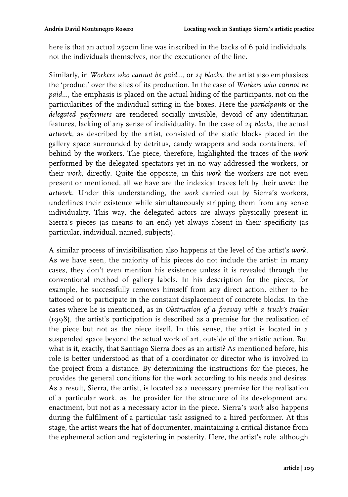here is that an actual 250cm line was inscribed in the backs of 6 paid individuals, not the individuals themselves, nor the executioner of the line.

Similarly, in *Workers who cannot be paid...*, or *24 blocks,* the artist also emphasises the 'product' over the sites of its production. In the case of *Workers who cannot be paid...*, the emphasis is placed on the actual hiding of the participants, not on the particularities of the individual sitting in the boxes. Here the *participants* or the *delegated performers* are rendered socially invisible, devoid of any identitarian features, lacking of any sense of individuality. In the case of *24 blocks,* the actual *artwork*, as described by the artist, consisted of the static blocks placed in the gallery space surrounded by detritus, candy wrappers and soda containers, left behind by the workers. The piece, therefore, highlighted the traces of the *work* performed by the delegated spectators yet in no way addressed the workers, or their *work*, directly. Quite the opposite, in this *work* the workers are not even present or mentioned, all we have are the indexical traces left by their *work:* the *artwork.* Under this understanding, the *work* carried out by Sierra's workers, underlines their existence while simultaneously stripping them from any sense individuality. This way, the delegated actors are always physically present in Sierra's pieces (as means to an end) yet always absent in their specificity (as particular, individual, named, subjects).

A similar process of invisibilisation also happens at the level of the artist's *work*. As we have seen, the majority of his pieces do not include the artist: in many cases, they don't even mention his existence unless it is revealed through the conventional method of gallery labels. In his description for the pieces, for example, he successfully removes himself from any direct action, either to be tattooed or to participate in the constant displacement of concrete blocks. In the cases where he is mentioned, as in *Obstruction of a freeway with a truck's trailer*  (1998)*,* the artist's participation is described as a premise for the realisation of the piece but not as the piece itself. In this sense, the artist is located in a suspended space beyond the actual work of art, outside of the artistic action. But what is it, exactly, that Santiago Sierra does as an artist? As mentioned before, his role is better understood as that of a coordinator or director who is involved in the project from a distance. By determining the instructions for the pieces, he provides the general conditions for the work according to his needs and desires. As a result, Sierra, the artist, is located as a necessary premise for the realisation of a particular work, as the provider for the structure of its development and enactment, but not as a necessary actor in the piece. Sierra's *work* also happens during the fulfilment of a particular task assigned to a hired performer. At this stage, the artist wears the hat of documenter, maintaining a critical distance from the ephemeral action and registering in posterity. Here, the artist's role, although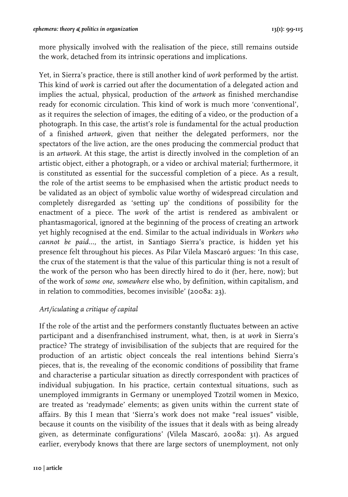more physically involved with the realisation of the piece, still remains outside the work, detached from its intrinsic operations and implications.

Yet, in Sierra's practice, there is still another kind of *work* performed by the artist. This kind of *work* is carried out after the documentation of a delegated action and implies the actual, physical, production of the *artwork* as finished merchandise ready for economic circulation. This kind of work is much more 'conventional', as it requires the selection of images, the editing of a video, or the production of a photograph. In this case, the artist's role is fundamental for the actual production of a finished *artwork*, given that neither the delegated performers, nor the spectators of the live action, are the ones producing the commercial product that is an *artwork*. At this stage, the artist is directly involved in the completion of an artistic object, either a photograph, or a video or archival material; furthermore, it is constituted as essential for the successful completion of a piece. As a result, the role of the artist seems to be emphasised when the artistic product needs to be validated as an object of symbolic value worthy of widespread circulation and completely disregarded as 'setting up' the conditions of possibility for the enactment of a piece. The *work* of the artist is rendered as ambivalent or phantasmagorical, ignored at the beginning of the process of creating an artwork yet highly recognised at the end. Similar to the actual individuals in *Workers who cannot be paid...,* the artist, in Santiago Sierra's practice, is hidden yet his presence felt throughout his pieces. As Pilar Vilela Mascaró argues: 'In this case, the crux of the statement is that the value of this particular thing is not a result of the work of the person who has been directly hired to do it (her, here, now); but of the work of *some one, somewhere* else who, by definition, within capitalism, and in relation to commodities, becomes invisible' (2008a: 23).

# *Art/iculating a critique of capital*

If the role of the artist and the performers constantly fluctuates between an active participant and a disenfranchised instrument, what, then, is at *work* in Sierra's practice? The strategy of invisibilisation of the subjects that are required for the production of an artistic object conceals the real intentions behind Sierra's pieces, that is, the revealing of the economic conditions of possibility that frame and characterise a particular situation as directly correspondent with practices of individual subjugation. In his practice, certain contextual situations, such as unemployed immigrants in Germany or unemployed Tzotzil women in Mexico, are treated as 'readymade' elements; as given units within the current state of affairs. By this I mean that 'Sierra's work does not make "real issues" visible, because it counts on the visibility of the issues that it deals with as being already given, as determinate configurations' (Vilela Mascaró, 2008a: 31). As argued earlier, everybody knows that there are large sectors of unemployment, not only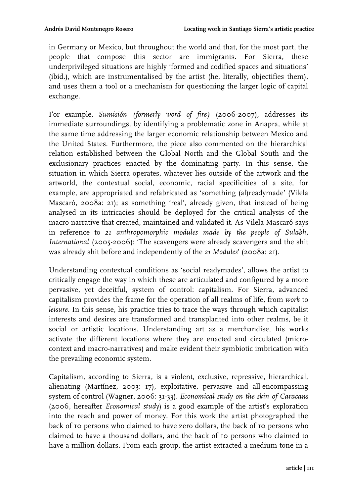in Germany or Mexico, but throughout the world and that, for the most part, the people that compose this sector are immigrants. For Sierra, these underprivileged situations are highly 'formed and codified spaces and situations' (ibid.), which are instrumentalised by the artist (he, literally, objectifies them), and uses them a tool or a mechanism for questioning the larger logic of capital exchange.

For example, *Sumisión (formerly word of fire)* (2006-2007)*,* addresses its immediate surroundings, by identifying a problematic zone in Anapra, while at the same time addressing the larger economic relationship between Mexico and the United States. Furthermore, the piece also commented on the hierarchical relation established between the Global North and the Global South and the exclusionary practices enacted by the dominating party. In this sense, the situation in which Sierra operates, whatever lies outside of the artwork and the artworld, the contextual social, economic, racial specificities of a site, for example, are appropriated and refabricated as 'something (al)readymade' (Vilela Mascaró, 2008a: 21); as something 'real', already given, that instead of being analysed in its intricacies should be deployed for the critical analysis of the macro-narrative that created, maintained and validated it. As Vilela Mascaró says in reference to *21 anthropomorphic modules made by the people of Sulabh, International* (2005-2006): 'The scavengers were already scavengers and the shit was already shit before and independently of the *21 Modules*' (2008a: 21).

Understanding contextual conditions as 'social readymades', allows the artist to critically engage the way in which these are articulated and configured by a more pervasive, yet deceitful, system of control: capitalism. For Sierra, advanced capitalism provides the frame for the operation of all realms of life, from *work* to *leisure.* In this sense, his practice tries to trace the ways through which capitalist interests and desires are transformed and transplanted into other realms, be it social or artistic locations. Understanding art as a merchandise, his works activate the different locations where they are enacted and circulated (microcontext and macro-narratives) and make evident their symbiotic imbrication with the prevailing economic system.

Capitalism, according to Sierra, is a violent, exclusive, repressive, hierarchical, alienating (Martínez, 2003: 17), exploitative, pervasive and all-encompassing system of control (Wagner, 2006: 31-33). *Economical study on the skin of Caracans* (2006, hereafter *Economical study*) is a good example of the artist's exploration into the reach and power of money. For this work the artist photographed the back of 10 persons who claimed to have zero dollars, the back of 10 persons who claimed to have a thousand dollars, and the back of 10 persons who claimed to have a million dollars. From each group, the artist extracted a medium tone in a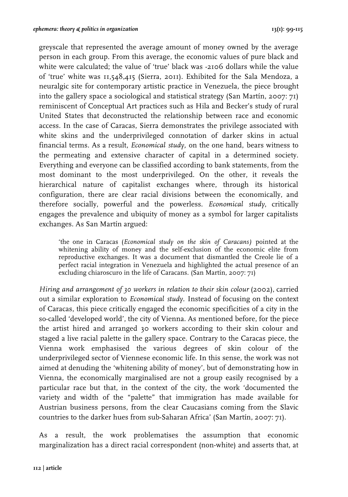greyscale that represented the average amount of money owned by the average person in each group. From this average, the economic values of pure black and white were calculated; the value of 'true' black was -2106 dollars while the value of 'true' white was 11,548,415 (Sierra, 2011). Exhibited for the Sala Mendoza, a neuralgic site for contemporary artistic practice in Venezuela, the piece brought into the gallery space a sociological and statistical strategy (San Martín, 2007: 71) reminiscent of Conceptual Art practices such as Hila and Becker's study of rural United States that deconstructed the relationship between race and economic access. In the case of Caracas, Sierra demonstrates the privilege associated with white skins and the underprivileged connotation of darker skins in actual financial terms. As a result, *Economical study,* on the one hand, bears witness to the permeating and extensive character of capital in a determined society. Everything and everyone can be classified according to bank statements, from the most dominant to the most underprivileged. On the other, it reveals the hierarchical nature of capitalist exchanges where, through its historical configuration, there are clear racial divisions between the economically, and therefore socially, powerful and the powerless. *Economical study*, critically engages the prevalence and ubiquity of money as a symbol for larger capitalists exchanges. As San Martín argued:

'the one in Caracas (*Economical study on the skin of Caracans)* pointed at the whitening ability of money and the self-exclusion of the economic elite from reproductive exchanges. It was a document that dismantled the Creole lie of a perfect racial integration in Venezuela and highlighted the actual presence of an excluding chiaroscuro in the life of Caracans. (San Martín, 2007: 71)

*Hiring and arrangement of 30 workers in relation to their skin colour* (2002), carried out a similar exploration to *Economical study.* Instead of focusing on the context of Caracas, this piece critically engaged the economic specificities of a city in the so-called 'developed world', the city of Vienna. As mentioned before, for the piece the artist hired and arranged 30 workers according to their skin colour and staged a live racial palette in the gallery space. Contrary to the Caracas piece, the Vienna work emphasised the various degrees of skin colour of the underprivileged sector of Viennese economic life. In this sense, the work was not aimed at denuding the 'whitening ability of money', but of demonstrating how in Vienna, the economically marginalised are not a group easily recognised by a particular race but that, in the context of the city, the work 'documented the variety and width of the "palette" that immigration has made available for Austrian business persons, from the clear Caucasians coming from the Slavic countries to the darker hues from sub-Saharan Africa' (San Martín, 2007: 71).

As a result, the work problematises the assumption that economic marginalization has a direct racial correspondent (non-white) and asserts that, at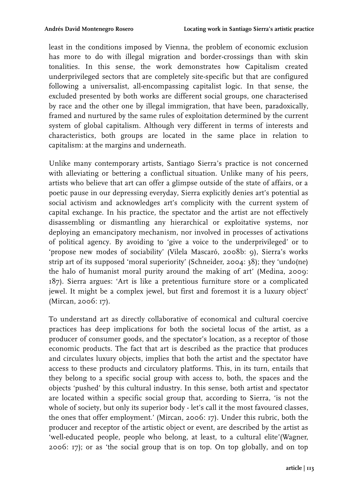least in the conditions imposed by Vienna, the problem of economic exclusion has more to do with illegal migration and border-crossings than with skin tonalities. In this sense, the work demonstrates how Capitalism created underprivileged sectors that are completely site-specific but that are configured following a universalist, all-encompassing capitalist logic. In that sense, the excluded presented by both works are different social groups, one characterised by race and the other one by illegal immigration, that have been, paradoxically, framed and nurtured by the same rules of exploitation determined by the current system of global capitalism. Although very different in terms of interests and characteristics, both groups are located in the same place in relation to capitalism: at the margins and underneath.

Unlike many contemporary artists, Santiago Sierra's practice is not concerned with alleviating or bettering a conflictual situation. Unlike many of his peers, artists who believe that art can offer a glimpse outside of the state of affairs, or a poetic pause in our depressing everyday, Sierra explicitly denies art's potential as social activism and acknowledges art's complicity with the current system of capital exchange. In his practice, the spectator and the artist are not effectively disassembling or dismantling any hierarchical or exploitative systems, nor deploying an emancipatory mechanism, nor involved in processes of activations of political agency. By avoiding to 'give a voice to the underprivileged' or to 'propose new modes of sociability' (Vilela Mascaró, 2008b: 9), Sierra's works strip art of its supposed 'moral superiority' (Schneider, 2004: 38); they 'undo(ne) the halo of humanist moral purity around the making of art' (Medina, 2009: 187). Sierra argues: 'Art is like a pretentious furniture store or a complicated jewel. It might be a complex jewel, but first and foremost it is a luxury object' (Mircan, 2006: 17).

To understand art as directly collaborative of economical and cultural coercive practices has deep implications for both the societal locus of the artist, as a producer of consumer goods, and the spectator's location, as a receptor of those economic products. The fact that art is described as the practice that produces and circulates luxury objects, implies that both the artist and the spectator have access to these products and circulatory platforms. This, in its turn, entails that they belong to a specific social group with access to, both, the spaces and the objects 'pushed' by this cultural industry. In this sense, both artist and spectator are located within a specific social group that, according to Sierra, 'is not the whole of society, but only its superior body - let's call it the most favoured classes, the ones that offer employment.' (Mircan, 2006: 17). Under this rubric, both the producer and receptor of the artistic object or event, are described by the artist as 'well-educated people, people who belong, at least, to a cultural elite'(Wagner, 2006: 17); or as 'the social group that is on top. On top globally, and on top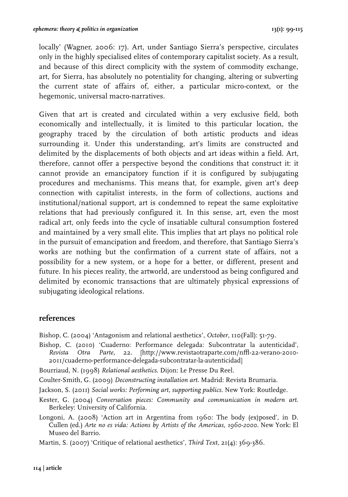locally' (Wagner, 2006: 17). Art, under Santiago Sierra's perspective, circulates only in the highly specialised elites of contemporary capitalist society. As a result, and because of this direct complicity with the system of commodity exchange, art, for Sierra, has absolutely no potentiality for changing, altering or subverting the current state of affairs of, either, a particular micro-context, or the hegemonic, universal macro-narratives.

Given that art is created and circulated within a very exclusive field, both economically and intellectually, it is limited to this particular location, the geography traced by the circulation of both artistic products and ideas surrounding it. Under this understanding, art's limits are constructed and delimited by the displacements of both objects and art ideas within a field. Art, therefore, cannot offer a perspective beyond the conditions that construct it: it cannot provide an emancipatory function if it is configured by subjugating procedures and mechanisms. This means that, for example, given art's deep connection with capitalist interests, in the form of collections, auctions and institutional/national support, art is condemned to repeat the same exploitative relations that had previously configured it. In this sense, art, even the most radical art, only feeds into the cycle of insatiable cultural consumption fostered and maintained by a very small elite. This implies that art plays no political role in the pursuit of emancipation and freedom, and therefore, that Santiago Sierra's works are nothing but the confirmation of a current state of affairs, not a possibility for a new system, or a hope for a better, or different, present and future. In his pieces reality, the artworld, are understood as being configured and delimited by economic transactions that are ultimately physical expressions of subjugating ideological relations.

### **references**

Bishop, C. (2004) 'Antagonism and relational aesthetics', *October*, 110(Fall): 51-79.

Bishop, C. (2010) 'Cuaderno: Performance delegada: Subcontratar la autenticidad', *Revista Otra Parte,* 22. [http://www.revistaotraparte.com/nffl-22-verano-2010-2011/cuaderno-performance-delegada-subcontratar-la-autenticidad]

Bourriaud, N. (1998) *Relational aesthetics*. Dijon: Le Presse Du Reel.

Coulter-Smith, G. (2009) *Deconstructing installation art*. Madrid: Revista Brumaria.

Jackson, S. (2011) *Social works: Performing art, supporting publics*. New York: Routledge.

Kester, G. (2004) *Conversation pieces: Community and communication in modern art*. Berkeley: University of California.

Longoni, A. (2008) 'Action art in Argentina from 1960: The body (ex)posed', in D. Cullen (ed.) *Arte no es vida: Actions by Artists of the Americas, 1960-2000.* New York: El Museo del Barrio.

Martin, S. (2007) 'Critique of relational aesthetics', *Third Text,* 21(4): 369-386.